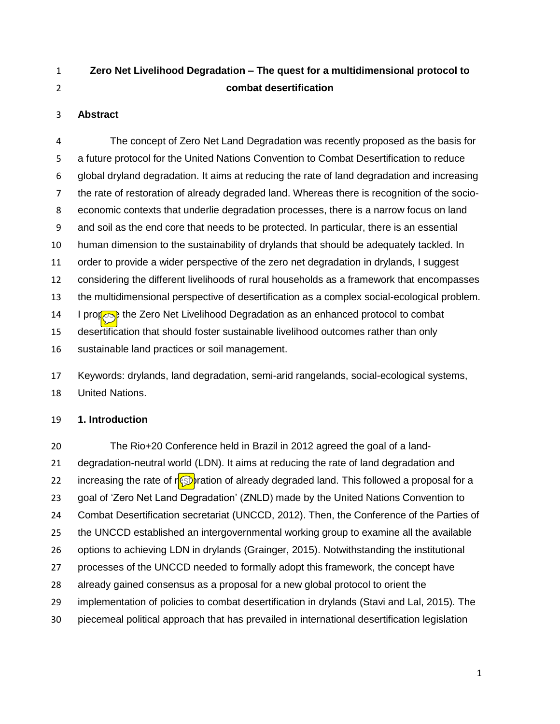# **Zero Net Livelihood Degradation – The quest for a multidimensional protocol to combat desertification**

### **Abstract**

 The concept of Zero Net Land Degradation was recently proposed as the basis for a future protocol for the United Nations Convention to Combat Desertification to reduce global dryland degradation. It aims at reducing the rate of land degradation and increasing the rate of restoration of already degraded land. Whereas there is recognition of the socio- economic contexts that underlie degradation processes, there is a narrow focus on land and soil as the end core that needs to be protected. In particular, there is an essential human dimension to the sustainability of drylands that should be adequately tackled. In order to provide a wider perspective of the zero net degradation in drylands, I suggest considering the different livelihoods of rural households as a framework that encompasses the multidimensional perspective of desertification as a complex social-ecological problem. 14 I propose the Zero Net Livelihood Degradation as an enhanced protocol to combat desertification that should foster sustainable livelihood outcomes rather than only sustainable land practices or soil management.

 Keywords: drylands, land degradation, semi-arid rangelands, social-ecological systems, United Nations.

#### **1. Introduction**

 The Rio+20 Conference held in Brazil in 2012 agreed the goal of a land- degradation-neutral world (LDN). It aims at reducing the rate of land degradation and 22 increasing the rate of r**estoration of already degraded land.** This followed a proposal for a goal of 'Zero Net Land Degradation' (ZNLD) made by the United Nations Convention to Combat Desertification secretariat (UNCCD, 2012). Then, the Conference of the Parties of the UNCCD established an intergovernmental working group to examine all the available options to achieving LDN in drylands (Grainger, 2015). Notwithstanding the institutional processes of the UNCCD needed to formally adopt this framework, the concept have already gained consensus as a proposal for a new global protocol to orient the implementation of policies to combat desertification in drylands (Stavi and Lal, 2015). The piecemeal political approach that has prevailed in international desertification legislation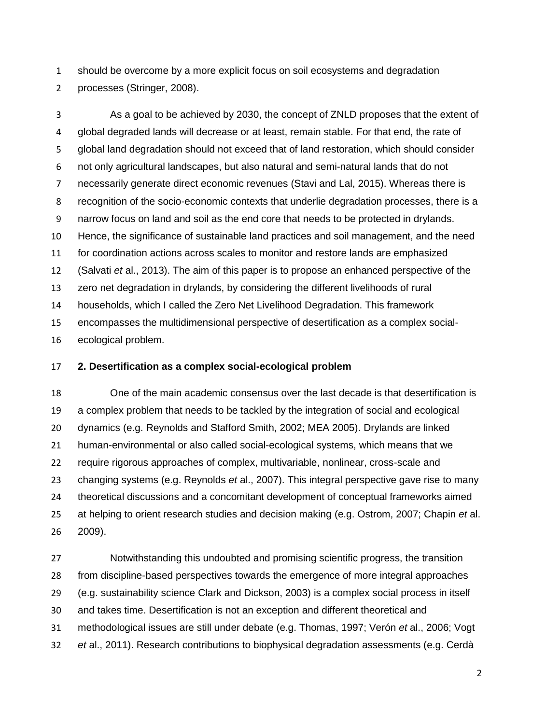should be overcome by a more explicit focus on soil ecosystems and degradation processes (Stringer, 2008).

 As a goal to be achieved by 2030, the concept of ZNLD proposes that the extent of global degraded lands will decrease or at least, remain stable. For that end, the rate of global land degradation should not exceed that of land restoration, which should consider not only agricultural landscapes, but also natural and semi-natural lands that do not necessarily generate direct economic revenues (Stavi and Lal, 2015). Whereas there is recognition of the socio-economic contexts that underlie degradation processes, there is a narrow focus on land and soil as the end core that needs to be protected in drylands. Hence, the significance of sustainable land practices and soil management, and the need for coordination actions across scales to monitor and restore lands are emphasized (Salvati *et* al., 2013). The aim of this paper is to propose an enhanced perspective of the zero net degradation in drylands, by considering the different livelihoods of rural households, which I called the Zero Net Livelihood Degradation. This framework encompasses the multidimensional perspective of desertification as a complex social-ecological problem.

## **2. Desertification as a complex social-ecological problem**

 One of the main academic consensus over the last decade is that desertification is a complex problem that needs to be tackled by the integration of social and ecological dynamics (e.g. Reynolds and Stafford Smith, 2002; MEA 2005). Drylands are linked human-environmental or also called social-ecological systems, which means that we require rigorous approaches of complex, multivariable, nonlinear, cross-scale and changing systems (e.g. Reynolds *et* al., 2007). This integral perspective gave rise to many theoretical discussions and a concomitant development of conceptual frameworks aimed at helping to orient research studies and decision making (e.g. Ostrom, 2007; Chapin *et* al. 2009).

 Notwithstanding this undoubted and promising scientific progress, the transition from discipline-based perspectives towards the emergence of more integral approaches (e.g. sustainability science Clark and Dickson, 2003) is a complex social process in itself and takes time. Desertification is not an exception and different theoretical and methodological issues are still under debate (e.g. Thomas, 1997; Verón *et* al., 2006; Vogt *et* al., 2011). Research contributions to biophysical degradation assessments (e.g. Cerdà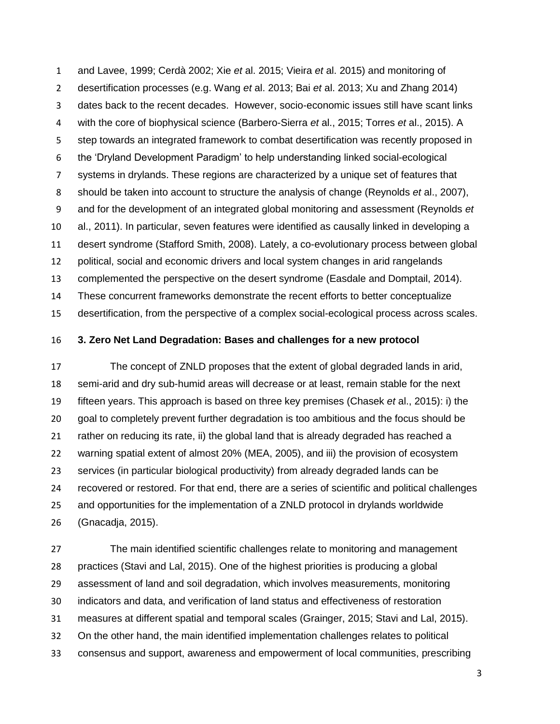and Lavee, 1999; Cerdà 2002; Xie *et* al. 2015; Vieira *et* al. 2015) and monitoring of desertification processes (e.g. Wang *et* al. 2013; Bai *et* al. 2013; Xu and Zhang 2014) dates back to the recent decades. However, socio-economic issues still have scant links with the core of biophysical science (Barbero-Sierra *et* al., 2015; Torres *et* al., 2015). A step towards an integrated framework to combat desertification was recently proposed in the 'Dryland Development Paradigm' to help understanding linked social-ecological systems in drylands. These regions are characterized by a unique set of features that should be taken into account to structure the analysis of change (Reynolds *et* al., 2007), and for the development of an integrated global monitoring and assessment (Reynolds *et* al., 2011). In particular, seven features were identified as causally linked in developing a desert syndrome (Stafford Smith, 2008). Lately, a co-evolutionary process between global political, social and economic drivers and local system changes in arid rangelands complemented the perspective on the desert syndrome (Easdale and Domptail, 2014). These concurrent frameworks demonstrate the recent efforts to better conceptualize desertification, from the perspective of a complex social-ecological process across scales.

#### **3. Zero Net Land Degradation: Bases and challenges for a new protocol**

 The concept of ZNLD proposes that the extent of global degraded lands in arid, semi-arid and dry sub-humid areas will decrease or at least, remain stable for the next fifteen years. This approach is based on three key premises (Chasek *et* al., 2015): i) the goal to completely prevent further degradation is too ambitious and the focus should be rather on reducing its rate, ii) the global land that is already degraded has reached a warning spatial extent of almost 20% (MEA, 2005), and iii) the provision of ecosystem services (in particular biological productivity) from already degraded lands can be recovered or restored. For that end, there are a series of scientific and political challenges and opportunities for the implementation of a ZNLD protocol in drylands worldwide (Gnacadja, 2015).

 The main identified scientific challenges relate to monitoring and management practices (Stavi and Lal, 2015). One of the highest priorities is producing a global assessment of land and soil degradation, which involves measurements, monitoring indicators and data, and verification of land status and effectiveness of restoration measures at different spatial and temporal scales (Grainger, 2015; Stavi and Lal, 2015). On the other hand, the main identified implementation challenges relates to political consensus and support, awareness and empowerment of local communities, prescribing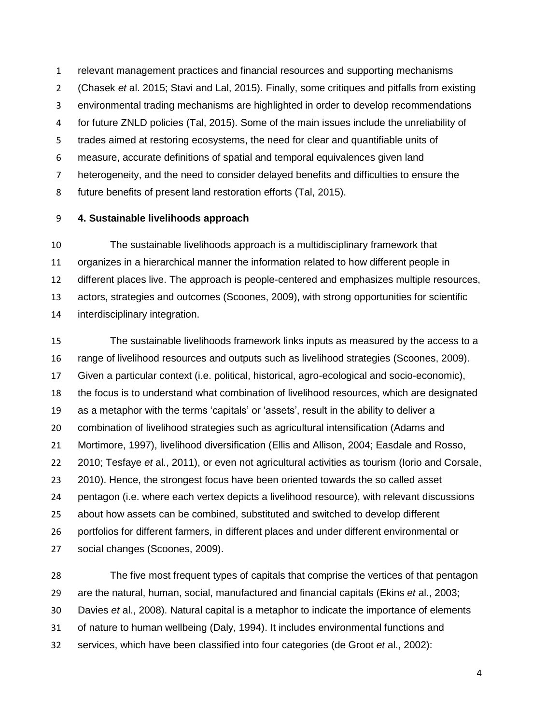relevant management practices and financial resources and supporting mechanisms (Chasek *et* al. 2015; Stavi and Lal, 2015). Finally, some critiques and pitfalls from existing environmental trading mechanisms are highlighted in order to develop recommendations for future ZNLD policies (Tal, 2015). Some of the main issues include the unreliability of trades aimed at restoring ecosystems, the need for clear and quantifiable units of measure, accurate definitions of spatial and temporal equivalences given land heterogeneity, and the need to consider delayed benefits and difficulties to ensure the future benefits of present land restoration efforts (Tal, 2015).

# **4. Sustainable livelihoods approach**

 The sustainable livelihoods approach is a multidisciplinary framework that organizes in a hierarchical manner the information related to how different people in different places live. The approach is people-centered and emphasizes multiple resources, actors, strategies and outcomes (Scoones, 2009), with strong opportunities for scientific interdisciplinary integration.

 The sustainable livelihoods framework links inputs as measured by the access to a range of livelihood resources and outputs such as livelihood strategies (Scoones, 2009). Given a particular context (i.e. political, historical, agro-ecological and socio-economic), the focus is to understand what combination of livelihood resources, which are designated as a metaphor with the terms 'capitals' or 'assets', result in the ability to deliver a combination of livelihood strategies such as agricultural intensification (Adams and Mortimore, 1997), livelihood diversification (Ellis and Allison, 2004; Easdale and Rosso, 2010; Tesfaye *et* al., 2011), or even not agricultural activities as tourism (Iorio and Corsale, 2010). Hence, the strongest focus have been oriented towards the so called asset pentagon (i.e. where each vertex depicts a livelihood resource), with relevant discussions about how assets can be combined, substituted and switched to develop different portfolios for different farmers, in different places and under different environmental or social changes (Scoones, 2009).

 The five most frequent types of capitals that comprise the vertices of that pentagon are the natural, human, social, manufactured and financial capitals (Ekins *et* al., 2003; Davies *et* al., 2008). Natural capital is a metaphor to indicate the importance of elements of nature to human wellbeing (Daly, 1994). It includes environmental functions and services, which have been classified into four categories (de Groot *et* al., 2002):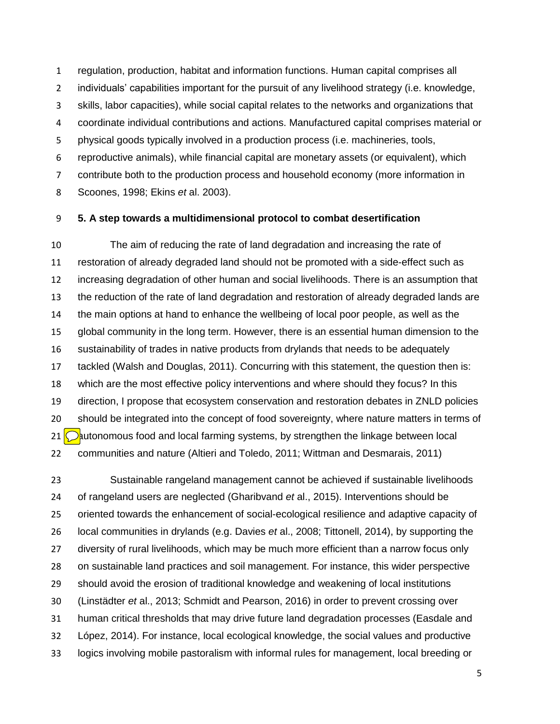regulation, production, habitat and information functions. Human capital comprises all individuals' capabilities important for the pursuit of any livelihood strategy (i.e. knowledge, skills, labor capacities), while social capital relates to the networks and organizations that coordinate individual contributions and actions. Manufactured capital comprises material or physical goods typically involved in a production process (i.e. machineries, tools, reproductive animals), while financial capital are monetary assets (or equivalent), which contribute both to the production process and household economy (more information in Scoones, 1998; Ekins *et* al. 2003).

## **5. A step towards a multidimensional protocol to combat desertification**

 The aim of reducing the rate of land degradation and increasing the rate of restoration of already degraded land should not be promoted with a side-effect such as increasing degradation of other human and social livelihoods. There is an assumption that the reduction of the rate of land degradation and restoration of already degraded lands are the main options at hand to enhance the wellbeing of local poor people, as well as the global community in the long term. However, there is an essential human dimension to the sustainability of trades in native products from drylands that needs to be adequately tackled (Walsh and Douglas, 2011). Concurring with this statement, the question then is: which are the most effective policy interventions and where should they focus? In this direction, I propose that ecosystem conservation and restoration debates in ZNLD policies should be integrated into the concept of food sovereignty, where nature matters in terms of  $\bigcirc$  autonomous food and local farming systems, by strengthen the linkage between local communities and nature (Altieri and Toledo, 2011; Wittman and Desmarais, 2011)

 Sustainable rangeland management cannot be achieved if sustainable livelihoods of rangeland users are neglected (Gharibvand *et* al., 2015). Interventions should be oriented towards the enhancement of social-ecological resilience and adaptive capacity of local communities in drylands (e.g. Davies *et* al., 2008; Tittonell, 2014), by supporting the diversity of rural livelihoods, which may be much more efficient than a narrow focus only on sustainable land practices and soil management. For instance, this wider perspective should avoid the erosion of traditional knowledge and weakening of local institutions (Linstädter *et* al., 2013; Schmidt and Pearson, 2016) in order to prevent crossing over human critical thresholds that may drive future land degradation processes (Easdale and López, 2014). For instance, local ecological knowledge, the social values and productive logics involving mobile pastoralism with informal rules for management, local breeding or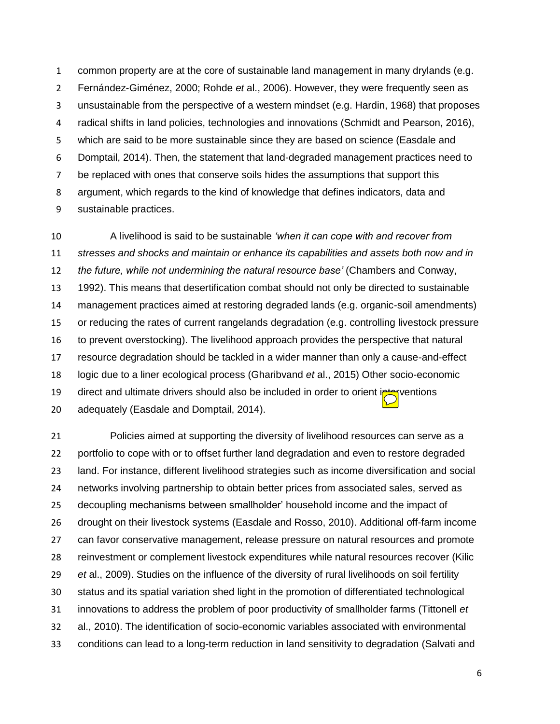common property are at the core of sustainable land management in many drylands (e.g. Fernández-Giménez, 2000; Rohde *et* al., 2006). However, they were frequently seen as unsustainable from the perspective of a western mindset (e.g. Hardin, 1968) that proposes radical shifts in land policies, technologies and innovations (Schmidt and Pearson, 2016), which are said to be more sustainable since they are based on science (Easdale and Domptail, 2014). Then, the statement that land-degraded management practices need to be replaced with ones that conserve soils hides the assumptions that support this argument, which regards to the kind of knowledge that defines indicators, data and sustainable practices.

 A livelihood is said to be sustainable *'when it can cope with and recover from stresses and shocks and maintain or enhance its capabilities and assets both now and in the future, while not undermining the natural resource base'* (Chambers and Conway, 1992). This means that desertification combat should not only be directed to sustainable management practices aimed at restoring degraded lands (e.g. organic-soil amendments) or reducing the rates of current rangelands degradation (e.g. controlling livestock pressure to prevent overstocking). The livelihood approach provides the perspective that natural resource degradation should be tackled in a wider manner than only a cause-and-effect logic due to a liner ecological process (Gharibvand *et* al., 2015) Other socio-economic 19 direct and ultimate drivers should also be included in order to orient interventions adequately (Easdale and Domptail, 2014).

 Policies aimed at supporting the diversity of livelihood resources can serve as a portfolio to cope with or to offset further land degradation and even to restore degraded land. For instance, different livelihood strategies such as income diversification and social networks involving partnership to obtain better prices from associated sales, served as decoupling mechanisms between smallholder' household income and the impact of drought on their livestock systems (Easdale and Rosso, 2010). Additional off-farm income can favor conservative management, release pressure on natural resources and promote reinvestment or complement livestock expenditures while natural resources recover (Kilic *et* al., 2009). Studies on the influence of the diversity of rural livelihoods on soil fertility status and its spatial variation shed light in the promotion of differentiated technological innovations to address the problem of poor productivity of smallholder farms (Tittonell *et* al., 2010). The identification of socio-economic variables associated with environmental conditions can lead to a long-term reduction in land sensitivity to degradation (Salvati and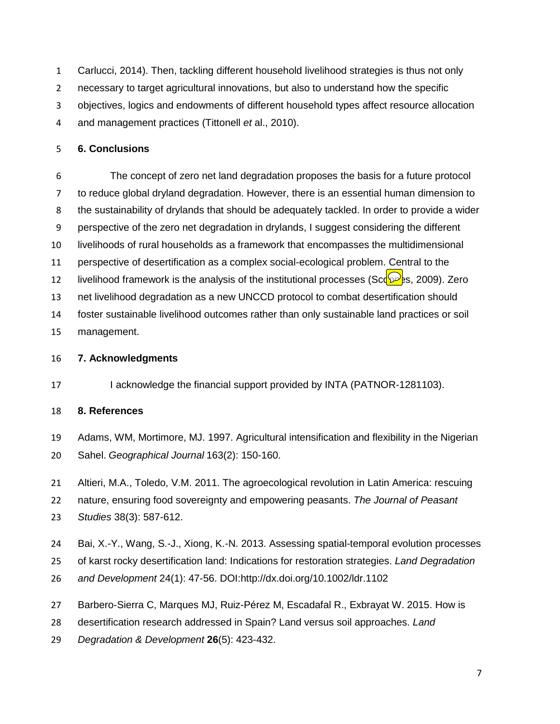Carlucci, 2014). Then, tackling different household livelihood strategies is thus not only necessary to target agricultural innovations, but also to understand how the specific objectives, logics and endowments of different household types affect resource allocation and management practices (Tittonell *et* al., 2010).

# **6. Conclusions**

 The concept of zero net land degradation proposes the basis for a future protocol to reduce global dryland degradation. However, there is an essential human dimension to the sustainability of drylands that should be adequately tackled. In order to provide a wider perspective of the zero net degradation in drylands, I suggest considering the different livelihoods of rural households as a framework that encompasses the multidimensional perspective of desertification as a complex social-ecological problem. Central to the 12 livelihood framework is the analysis of the institutional processes (Sco $\mathbb{R}$ s, 2009). Zero net livelihood degradation as a new UNCCD protocol to combat desertification should foster sustainable livelihood outcomes rather than only sustainable land practices or soil management.

#### **7. Acknowledgments**

17 I acknowledge the financial support provided by INTA (PATNOR-1281103).

#### **8. References**

- Adams, WM, Mortimore, MJ. 1997. Agricultural intensification and flexibility in the Nigerian Sahel. *Geographical Journal* 163(2): 150-160.
- Altieri, M.A., Toledo, V.M. 2011. The agroecological revolution in Latin America: rescuing
- nature, ensuring food sovereignty and empowering peasants. *The Journal of Peasant*
- *Studies* 38(3): 587-612.
- Bai, X.-Y., Wang, S.-J., Xiong, K.-N. 2013. Assessing spatial-temporal evolution processes
- of karst rocky desertification land: Indications for restoration strategies. *Land Degradation*
- *and Development* 24(1): 47-56. DOI[:http://dx.doi.org/10.1002/ldr.1102](https://hcas.inta.gob.ar/owa/redir.aspx?SURL=m77i2BSPTLvOUDUqSktnGN8pPPaU7LJQ_X-l1hbne3UYgGXuot3SCGgAdAB0AHAAOgAvAC8AZAB4AC4AZABvAGkALgBvAHIAZwAvADEAMAAuADEAMAAwADIALwBsAGQAcgAuADEAMQAwADIA&URL=http%3a%2f%2fdx.doi.org%2f10.1002%2fldr.1102)
- Barbero-Sierra C, Marques MJ, Ruiz-Pérez M, Escadafal R., Exbrayat W. 2015. How is
- desertification research addressed in Spain? Land versus soil approaches. *Land*
- *Degradation & Development* **26**(5): 423-432.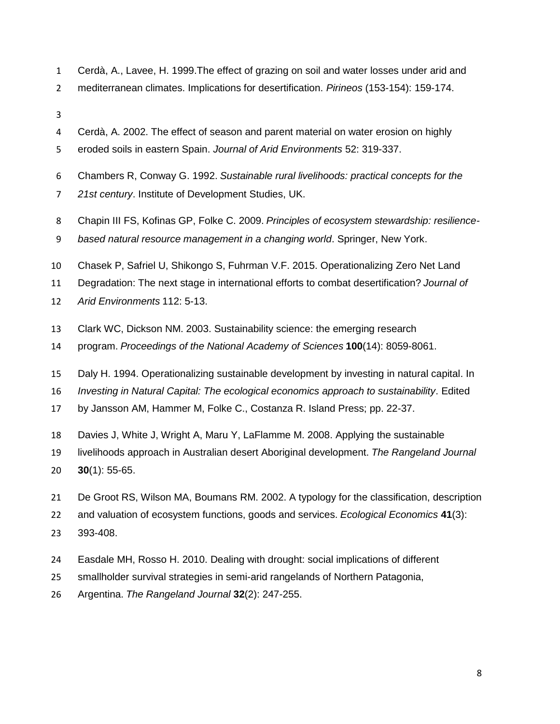- Cerdà, A., Lavee, H. 1999.The effect of grazing on soil and water losses under arid and
- mediterranean climates. Implications for desertification. *Pirineos* (153-154): 159-174.
- 
- Cerdà, A. 2002. The effect of season and parent material on water erosion on highly
- eroded soils in eastern Spain. *Journal of Arid Environments* 52: 319-337.
- Chambers R, Conway G. 1992. *Sustainable rural livelihoods: practical concepts for the*
- *21st century*. Institute of Development Studies, UK.
- Chapin III FS, Kofinas GP, Folke C. 2009. *Principles of ecosystem stewardship: resilience-*
- *based natural resource management in a changing world*. Springer, New York.
- Chasek P, Safriel U, Shikongo S, Fuhrman V.F. 2015. Operationalizing Zero Net Land
- Degradation: The next stage in international efforts to combat desertification? *Journal of*
- *Arid Environments* 112: 5-13.
- Clark WC, Dickson NM. 2003. Sustainability science: the emerging research
- program. *Proceedings of the National Academy of Sciences* **100**(14): 8059-8061.
- Daly H. 1994. Operationalizing sustainable development by investing in natural capital. In
- *Investing in Natural Capital: The ecological economics approach to sustainability*. Edited
- by Jansson AM, Hammer M, Folke C., Costanza R. Island Press; pp. 22-37.
- Davies J, White J, Wright A, Maru Y, LaFlamme M. 2008. Applying the sustainable
- livelihoods approach in Australian desert Aboriginal development. *The Rangeland Journal*
- **30**(1): 55-65.
- De Groot RS, Wilson MA, Boumans RM. 2002. A typology for the classification, description
- and valuation of ecosystem functions, goods and services. *Ecological Economics* **41**(3):
- 393-408.
- Easdale MH, Rosso H. 2010. Dealing with drought: social implications of different
- smallholder survival strategies in semi-arid rangelands of Northern Patagonia,
- Argentina. *The Rangeland Journal* **32**(2): 247-255.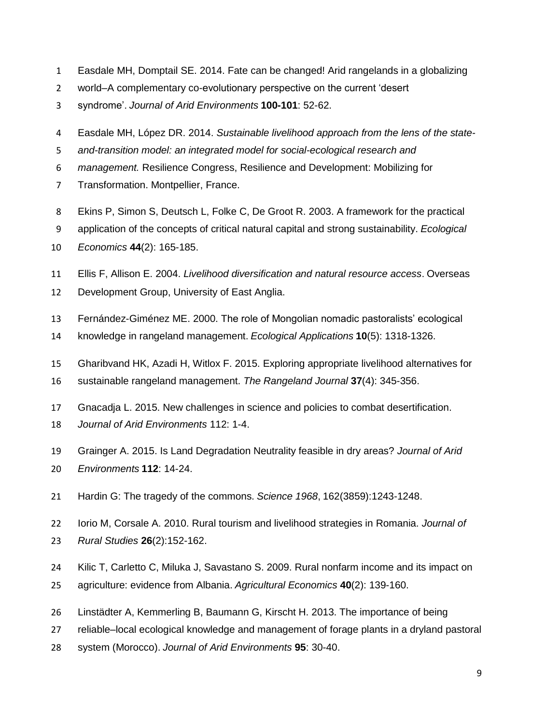- Easdale MH, Domptail SE. 2014. Fate can be changed! Arid rangelands in a globalizing
- world–A complementary co-evolutionary perspective on the current 'desert
- syndrome'. *Journal of Arid Environments* **100-101**: 52-62.
- Easdale MH, López DR. 2014. *Sustainable livelihood approach from the lens of the state-*
- *and-transition model: an integrated model for social-ecological research and*
- *management.* Resilience Congress, Resilience and Development: Mobilizing for
- Transformation. Montpellier, France.
- Ekins P, Simon S, Deutsch L, Folke C, De Groot R. 2003. A framework for the practical
- application of the concepts of critical natural capital and strong sustainability. *Ecological Economics* **44**(2): 165-185.
- Ellis F, Allison E. 2004. *Livelihood diversification and natural resource access*. Overseas
- Development Group, University of East Anglia.
- Fernández-Giménez ME. 2000. The role of Mongolian nomadic pastoralists' ecological
- knowledge in rangeland management. *Ecological Applications* **10**(5): 1318-1326.
- Gharibvand HK, Azadi H, Witlox F. 2015. Exploring appropriate livelihood alternatives for
- sustainable rangeland management. *The Rangeland Journal* **37**(4): 345-356.
- Gnacadja L. 2015. New challenges in science and policies to combat desertification.
- *Journal of Arid Environments* 112: 1-4.
- Grainger A. 2015. Is Land Degradation Neutrality feasible in dry areas? *Journal of Arid*
- *Environments* **112**: 14-24.
- Hardin G: The tragedy of the commons. *Science 1968*, 162(3859):1243-1248.
- Iorio M, Corsale A. 2010. Rural tourism and livelihood strategies in Romania. *Journal of Rural Studies* **26**(2):152-162.
- Kilic T, Carletto C, Miluka J, Savastano S. 2009. Rural nonfarm income and its impact on agriculture: evidence from Albania. *Agricultural Economics* **40**(2): 139-160.
- Linstädter A, Kemmerling B, Baumann G, Kirscht H. 2013. The importance of being
- reliable–local ecological knowledge and management of forage plants in a dryland pastoral
- system (Morocco). *Journal of Arid Environments* **95**: 30-40.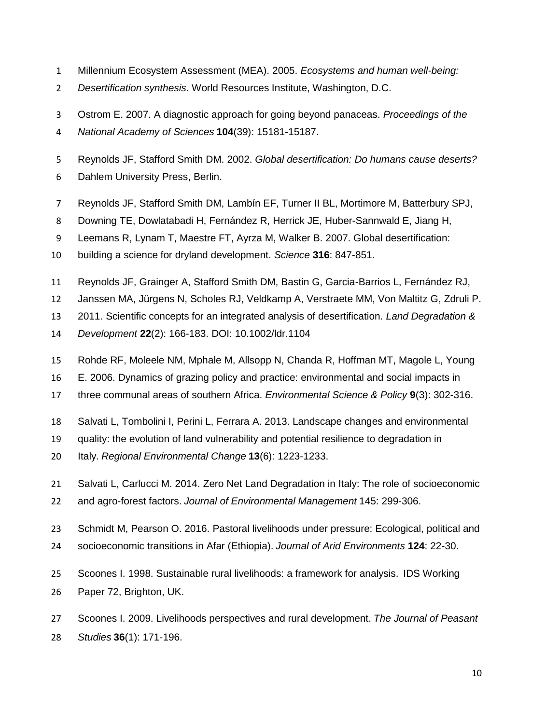- Millennium Ecosystem Assessment (MEA). 2005. *Ecosystems and human well-being:*
- *Desertification synthesis*. World Resources Institute, Washington, D.C.
- Ostrom E. 2007. A diagnostic approach for going beyond panaceas. *Proceedings of the*
- *National Academy of Sciences* **104**(39): 15181-15187.
- Reynolds JF, Stafford Smith DM. 2002. *Global desertification: Do humans cause deserts?*
- Dahlem University Press, Berlin.
- Reynolds JF, Stafford Smith DM, Lambín EF, Turner II BL, Mortimore M, Batterbury SPJ,
- Downing TE, Dowlatabadi H, Fernández R, Herrick JE, Huber-Sannwald E, Jiang H,
- Leemans R, Lynam T, Maestre FT, Ayrza M, Walker B. 2007. Global desertification:
- building a science for dryland development. *Science* **316**: 847-851.
- Reynolds JF, Grainger A, Stafford Smith DM, Bastin G, Garcia-Barrios L, Fernández RJ,
- Janssen MA, Jürgens N, Scholes RJ, Veldkamp A, Verstraete MM, Von Maltitz G, Zdruli P.
- 2011. Scientific concepts for an integrated analysis of desertification. *Land Degradation &*
- *Development* **22**(2): 166-183. DOI: 10.1002/ldr.1104
- Rohde RF, Moleele NM, Mphale M, Allsopp N, Chanda R, Hoffman MT, Magole L, Young
- E. 2006. Dynamics of grazing policy and practice: environmental and social impacts in
- three communal areas of southern Africa. *Environmental Science & Policy* **9**(3): 302-316.
- Salvati L, Tombolini I, Perini L, Ferrara A. 2013. Landscape changes and environmental
- quality: the evolution of land vulnerability and potential resilience to degradation in
- Italy. *Regional Environmental Change* **13**(6): 1223-1233.
- Salvati L, Carlucci M. 2014. Zero Net Land Degradation in Italy: The role of socioeconomic
- and agro-forest factors. *Journal of Environmental Management* 145: 299-306.
- Schmidt M, Pearson O. 2016. Pastoral livelihoods under pressure: Ecological, political and
- socioeconomic transitions in Afar (Ethiopia). *Journal of Arid Environments* **124**: 22-30.
- Scoones I. 1998. Sustainable rural livelihoods: a framework for analysis. IDS Working
- Paper 72, Brighton, UK.
- Scoones I. 2009. Livelihoods perspectives and rural development. *The Journal of Peasant Studies* **36**(1): 171-196.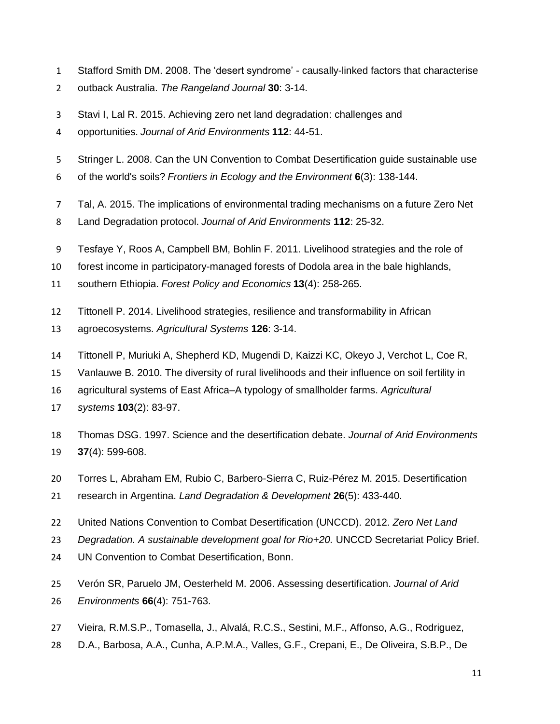- Stafford Smith DM. 2008. The 'desert syndrome' causally-linked factors that characterise
- outback Australia. *The Rangeland Journal* **30**: 3-14.
- Stavi I, Lal R. 2015. Achieving zero net land degradation: challenges and
- opportunities. *Journal of Arid Environments* **112**: 44-51.
- Stringer L. 2008. Can the UN Convention to Combat Desertification guide sustainable use
- of the world's soils? *Frontiers in Ecology and the Environment* **6**(3): 138-144.
- Tal, A. 2015. The implications of environmental trading mechanisms on a future Zero Net
- Land Degradation protocol. *Journal of Arid Environments* **112**: 25-32.
- Tesfaye Y, Roos A, Campbell BM, Bohlin F. 2011. Livelihood strategies and the role of
- forest income in participatory-managed forests of Dodola area in the bale highlands,
- southern Ethiopia. *Forest Policy and Economics* **13**(4): 258-265.
- Tittonell P. 2014. Livelihood strategies, resilience and transformability in African
- agroecosystems. *Agricultural Systems* **126**: 3-14.
- Tittonell P, Muriuki A, Shepherd KD, Mugendi D, Kaizzi KC, Okeyo J, Verchot L, Coe R,
- Vanlauwe B. 2010. The diversity of rural livelihoods and their influence on soil fertility in
- agricultural systems of East Africa–A typology of smallholder farms. *Agricultural*
- *systems* **103**(2): 83-97.
- Thomas DSG. 1997. Science and the desertification debate. *Journal of Arid Environments* **37**(4): 599-608.
- Torres L, Abraham EM, Rubio C, Barbero-Sierra C, Ruiz-Pérez M. 2015. Desertification
- research in Argentina. *Land Degradation & Development* **26**(5): 433-440.
- United Nations Convention to Combat Desertification (UNCCD). 2012. *Zero Net Land*
- *Degradation. A sustainable development goal for Rio+20.* UNCCD Secretariat Policy Brief.
- UN Convention to Combat Desertification, Bonn.
- Verón SR, Paruelo JM, Oesterheld M. 2006. Assessing desertification. *Journal of Arid Environments* **66**(4): 751-763.
- 
- Vieira, R.M.S.P., Tomasella, J., Alvalá, R.C.S., Sestini, M.F., Affonso, A.G., Rodriguez,
- D.A., Barbosa, A.A., Cunha, A.P.M.A., Valles, G.F., Crepani, E., De Oliveira, S.B.P., De